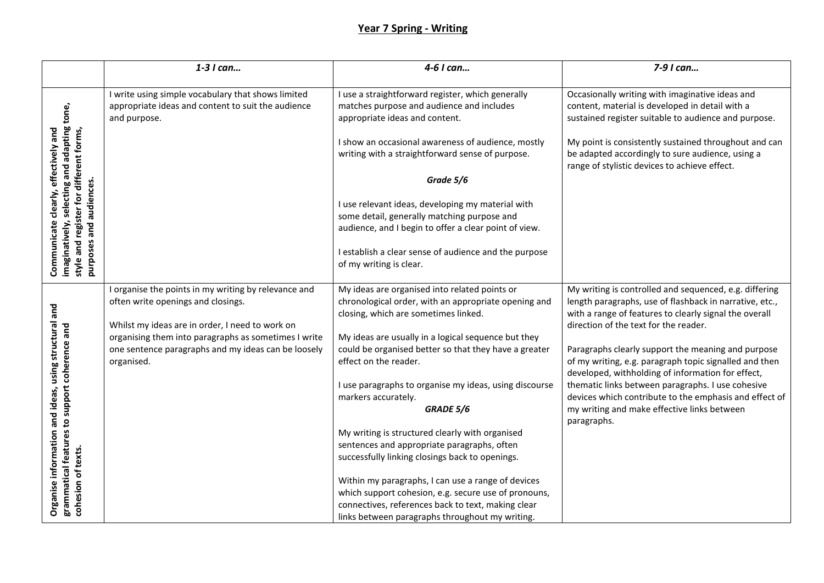## **Year 7 Spring - Writing**

|                                                                                                                                            | 1-3 I can                                                                                                                                                                                                                                                                  | 4-6 I can                                                                                                                                                                                                                                                                                                                                                                                                                                                                                                                                                                                                                                                                                                     | 7-9 I can                                                                                                                                                                                                                                                                                                                                                                                                                                                                                                                                                              |
|--------------------------------------------------------------------------------------------------------------------------------------------|----------------------------------------------------------------------------------------------------------------------------------------------------------------------------------------------------------------------------------------------------------------------------|---------------------------------------------------------------------------------------------------------------------------------------------------------------------------------------------------------------------------------------------------------------------------------------------------------------------------------------------------------------------------------------------------------------------------------------------------------------------------------------------------------------------------------------------------------------------------------------------------------------------------------------------------------------------------------------------------------------|------------------------------------------------------------------------------------------------------------------------------------------------------------------------------------------------------------------------------------------------------------------------------------------------------------------------------------------------------------------------------------------------------------------------------------------------------------------------------------------------------------------------------------------------------------------------|
| imaginatively, selecting and adapting tone,<br>effectively and<br>style and register for different forms,<br>and audiences<br>clearly,     | I write using simple vocabulary that shows limited<br>appropriate ideas and content to suit the audience<br>and purpose.                                                                                                                                                   | I use a straightforward register, which generally<br>matches purpose and audience and includes<br>appropriate ideas and content.<br>I show an occasional awareness of audience, mostly<br>writing with a straightforward sense of purpose.<br>Grade 5/6<br>I use relevant ideas, developing my material with<br>some detail, generally matching purpose and                                                                                                                                                                                                                                                                                                                                                   | Occasionally writing with imaginative ideas and<br>content, material is developed in detail with a<br>sustained register suitable to audience and purpose.<br>My point is consistently sustained throughout and can<br>be adapted accordingly to sure audience, using a<br>range of stylistic devices to achieve effect.                                                                                                                                                                                                                                               |
| Communicate<br>purposes                                                                                                                    |                                                                                                                                                                                                                                                                            | audience, and I begin to offer a clear point of view.<br>I establish a clear sense of audience and the purpose<br>of my writing is clear.                                                                                                                                                                                                                                                                                                                                                                                                                                                                                                                                                                     |                                                                                                                                                                                                                                                                                                                                                                                                                                                                                                                                                                        |
| and<br>structural<br>grammatical features to support coherence and<br>using<br>and ideas,<br>information<br>cohesion of texts.<br>Organise | I organise the points in my writing by relevance and<br>often write openings and closings.<br>Whilst my ideas are in order, I need to work on<br>organising them into paragraphs as sometimes I write<br>one sentence paragraphs and my ideas can be loosely<br>organised. | My ideas are organised into related points or<br>chronological order, with an appropriate opening and<br>closing, which are sometimes linked.<br>My ideas are usually in a logical sequence but they<br>could be organised better so that they have a greater<br>effect on the reader.<br>I use paragraphs to organise my ideas, using discourse<br>markers accurately.<br>GRADE 5/6<br>My writing is structured clearly with organised<br>sentences and appropriate paragraphs, often<br>successfully linking closings back to openings.<br>Within my paragraphs, I can use a range of devices<br>which support cohesion, e.g. secure use of pronouns,<br>connectives, references back to text, making clear | My writing is controlled and sequenced, e.g. differing<br>length paragraphs, use of flashback in narrative, etc.,<br>with a range of features to clearly signal the overall<br>direction of the text for the reader.<br>Paragraphs clearly support the meaning and purpose<br>of my writing, e.g. paragraph topic signalled and then<br>developed, withholding of information for effect,<br>thematic links between paragraphs. I use cohesive<br>devices which contribute to the emphasis and effect of<br>my writing and make effective links between<br>paragraphs. |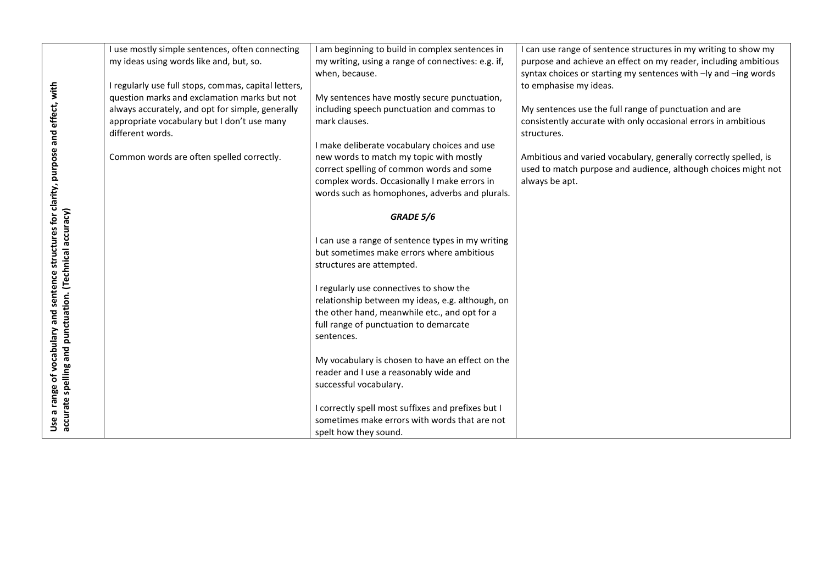|                                                                                                              | I use mostly simple sentences, often connecting<br>my ideas using words like and, but, so. | I am beginning to build in complex sentences in<br>my writing, using a range of connectives: e.g. if,<br>when, because. | I can use range of sentence structures in my writing to show my<br>purpose and achieve an effect on my reader, including ambitious<br>syntax choices or starting my sentences with -ly and -ing words |
|--------------------------------------------------------------------------------------------------------------|--------------------------------------------------------------------------------------------|-------------------------------------------------------------------------------------------------------------------------|-------------------------------------------------------------------------------------------------------------------------------------------------------------------------------------------------------|
|                                                                                                              | I regularly use full stops, commas, capital letters,                                       |                                                                                                                         | to emphasise my ideas.                                                                                                                                                                                |
|                                                                                                              | question marks and exclamation marks but not                                               | My sentences have mostly secure punctuation,                                                                            |                                                                                                                                                                                                       |
|                                                                                                              | always accurately, and opt for simple, generally                                           | including speech punctuation and commas to                                                                              | My sentences use the full range of punctuation and are                                                                                                                                                |
|                                                                                                              | appropriate vocabulary but I don't use many                                                | mark clauses.                                                                                                           | consistently accurate with only occasional errors in ambitious                                                                                                                                        |
|                                                                                                              | different words.                                                                           |                                                                                                                         | structures.                                                                                                                                                                                           |
|                                                                                                              |                                                                                            | I make deliberate vocabulary choices and use                                                                            |                                                                                                                                                                                                       |
|                                                                                                              | Common words are often spelled correctly.                                                  | new words to match my topic with mostly                                                                                 | Ambitious and varied vocabulary, generally correctly spelled, is                                                                                                                                      |
|                                                                                                              |                                                                                            | correct spelling of common words and some                                                                               | used to match purpose and audience, although choices might not                                                                                                                                        |
|                                                                                                              |                                                                                            | complex words. Occasionally I make errors in                                                                            | always be apt.                                                                                                                                                                                        |
|                                                                                                              |                                                                                            | words such as homophones, adverbs and plurals.                                                                          |                                                                                                                                                                                                       |
|                                                                                                              |                                                                                            |                                                                                                                         |                                                                                                                                                                                                       |
| accuracy)                                                                                                    |                                                                                            | GRADE 5/6                                                                                                               |                                                                                                                                                                                                       |
|                                                                                                              |                                                                                            |                                                                                                                         |                                                                                                                                                                                                       |
|                                                                                                              |                                                                                            | I can use a range of sentence types in my writing                                                                       |                                                                                                                                                                                                       |
|                                                                                                              |                                                                                            | but sometimes make errors where ambitious                                                                               |                                                                                                                                                                                                       |
|                                                                                                              |                                                                                            | structures are attempted.                                                                                               |                                                                                                                                                                                                       |
|                                                                                                              |                                                                                            |                                                                                                                         |                                                                                                                                                                                                       |
|                                                                                                              |                                                                                            | I regularly use connectives to show the                                                                                 |                                                                                                                                                                                                       |
|                                                                                                              |                                                                                            | relationship between my ideas, e.g. although, on                                                                        |                                                                                                                                                                                                       |
|                                                                                                              |                                                                                            | the other hand, meanwhile etc., and opt for a                                                                           |                                                                                                                                                                                                       |
|                                                                                                              |                                                                                            | full range of punctuation to demarcate                                                                                  |                                                                                                                                                                                                       |
|                                                                                                              |                                                                                            | sentences.                                                                                                              |                                                                                                                                                                                                       |
| and punctuation. (Technical                                                                                  |                                                                                            |                                                                                                                         |                                                                                                                                                                                                       |
|                                                                                                              |                                                                                            | My vocabulary is chosen to have an effect on the                                                                        |                                                                                                                                                                                                       |
|                                                                                                              |                                                                                            | reader and I use a reasonably wide and                                                                                  |                                                                                                                                                                                                       |
| Use a range of vocabulary and sentence structures for clarity, purpose and effect, with<br>accurate spelling |                                                                                            | successful vocabulary.                                                                                                  |                                                                                                                                                                                                       |
|                                                                                                              |                                                                                            |                                                                                                                         |                                                                                                                                                                                                       |
|                                                                                                              |                                                                                            | I correctly spell most suffixes and prefixes but I                                                                      |                                                                                                                                                                                                       |
|                                                                                                              |                                                                                            | sometimes make errors with words that are not                                                                           |                                                                                                                                                                                                       |
|                                                                                                              |                                                                                            | spelt how they sound.                                                                                                   |                                                                                                                                                                                                       |